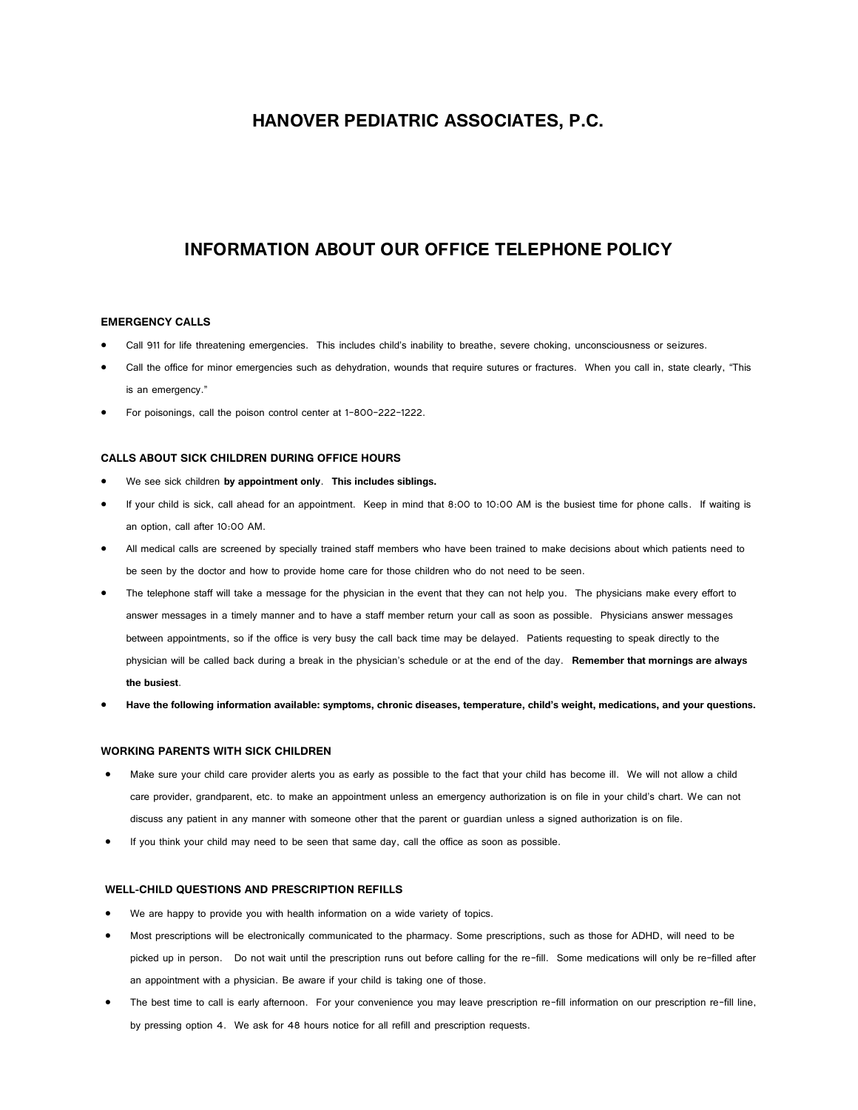## **HANOVER PEDIATRIC ASSOCIATES, P.C.**

# **INFORMATION ABOUT OUR OFFICE TELEPHONE POLICY**

### **EMERGENCY CALLS**

- Call 911 for life threatening emergencies. This includes child's inability to breathe, severe choking, unconsciousness or seizures.
- Call the office for minor emergencies such as dehydration, wounds that require sutures or fractures. When you call in, state clearly, "This is an emergency."
- For poisonings, call the poison control center at 1-800-222-1222.

#### **CALLS ABOUT SICK CHILDREN DURING OFFICE HOURS**

- We see sick children **by appointment only**. **This includes siblings.**
- If your child is sick, call ahead for an appointment. Keep in mind that 8:00 to 10:00 AM is the busiest time for phone calls. If waiting is an option, call after 10:00 AM.
- All medical calls are screened by specially trained staff members who have been trained to make decisions about which patients need to be seen by the doctor and how to provide home care for those children who do not need to be seen.
- The telephone staff will take a message for the physician in the event that they can not help you. The physicians make every effort to answer messages in a timely manner and to have a staff member return your call as soon as possible. Physicians answer messages between appointments, so if the office is very busy the call back time may be delayed. Patients requesting to speak directly to the physician will be called back during a break in the physician's schedule or at the end of the day. **Remember that mornings are always the busiest**.
- **Have the following information available: symptoms, chronic diseases, temperature, child's weight, medications, and your questions.**

#### **WORKING PARENTS WITH SICK CHILDREN**

- Make sure your child care provider alerts you as early as possible to the fact that your child has become ill. We will not allow a child care provider, grandparent, etc. to make an appointment unless an emergency authorization is on file in your child's chart. We can not discuss any patient in any manner with someone other that the parent or guardian unless a signed authorization is on file.
- If you think your child may need to be seen that same day, call the office as soon as possible.

#### **WELL-CHILD QUESTIONS AND PRESCRIPTION REFILLS**

- We are happy to provide you with health information on a wide variety of topics.
- Most prescriptions will be electronically communicated to the pharmacy. Some prescriptions, such as those for ADHD, will need to be picked up in person. Do not wait until the prescription runs out before calling for the re-fill. Some medications will only be re-filled after an appointment with a physician. Be aware if your child is taking one of those.
- The best time to call is early afternoon. For your convenience you may leave prescription re-fill information on our prescription re-fill line, by pressing option 4. We ask for 48 hours notice for all refill and prescription requests.